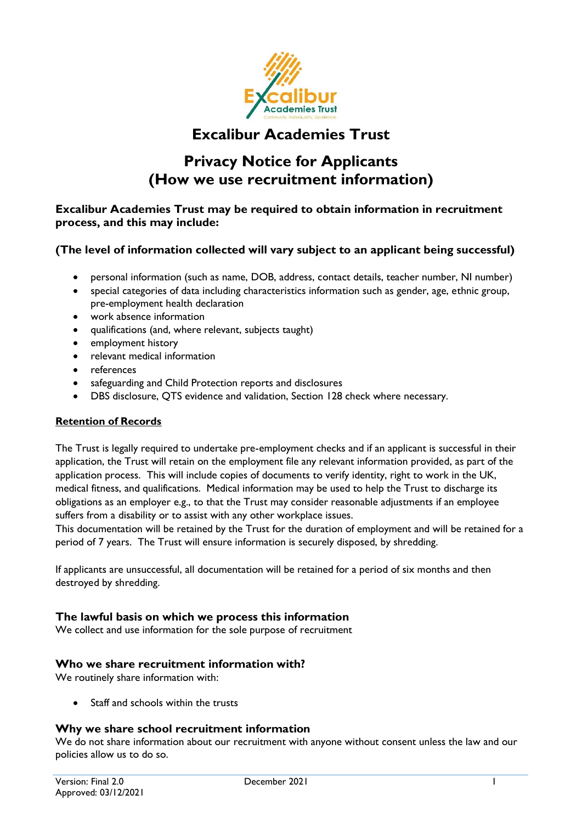

# **Excalibur Academies Trust**

# **Privacy Notice for Applicants (How we use recruitment information)**

**Excalibur Academies Trust may be required to obtain information in recruitment process, and this may include:** 

# **(The level of information collected will vary subject to an applicant being successful)**

- personal information (such as name, DOB, address, contact details, teacher number, NI number)
- special categories of data including characteristics information such as gender, age, ethnic group, pre-employment health declaration
- work absence information
- qualifications (and, where relevant, subjects taught)
- employment history
- relevant medical information
- references
- safeguarding and Child Protection reports and disclosures
- DBS disclosure, QTS evidence and validation, Section 128 check where necessary.

#### **Retention of Records**

The Trust is legally required to undertake pre-employment checks and if an applicant is successful in their application, the Trust will retain on the employment file any relevant information provided, as part of the application process. This will include copies of documents to verify identity, right to work in the UK, medical fitness, and qualifications. Medical information may be used to help the Trust to discharge its obligations as an employer e.g., to that the Trust may consider reasonable adjustments if an employee suffers from a disability or to assist with any other workplace issues.

This documentation will be retained by the Trust for the duration of employment and will be retained for a period of 7 years. The Trust will ensure information is securely disposed, by shredding.

If applicants are unsuccessful, all documentation will be retained for a period of six months and then destroyed by shredding.

#### **The lawful basis on which we process this information**

We collect and use information for the sole purpose of recruitment

#### **Who we share recruitment information with?**

We routinely share information with:

Staff and schools within the trusts

# **Why we share school recruitment information**

We do not share information about our recruitment with anyone without consent unless the law and our policies allow us to do so.